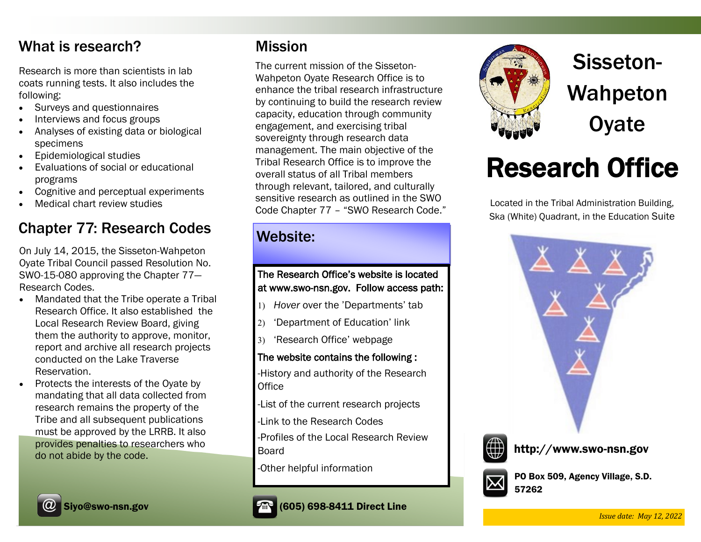### What is research?

Research is more than scientists in lab coats running tests. It also includes the following:

- Surveys and questionnaires
- Interviews and focus groups
- Analyses of existing data or biological specimens
- Epidemiological studies
- Evaluations of social or educational programs
- Cognitive and perceptual experiments
- Medical chart review studies

#### Chapter 77: Research Codes

On July 14, 2015, the Sisseton-Wahpeton Oyate Tribal Council passed Resolution No. SWO-15-080 approving the Chapter 77— Research Codes.

- Mandated that the Tribe operate a Tribal Research Office. It also established the Local Research Review Board, giving them the authority to approve, monitor, report and archive all research projects conducted on the Lake Traverse Reservation.
- Protects the interests of the Oyate by mandating that all data collected from research remains the property of the Tribe and all subsequent publications must be approved by the LRRB. It also provides penalties to researchers who do not abide by the code.

#### Mission

The current mission of the Sisseton-Wahpeton Oyate Research Office is to enhance the tribal research infrastructure by continuing to build the research review capacity, education through community engagement, and exercising tribal sovereignty through research data management. The main objective of the Tribal Research Office is to improve the overall status of all Tribal members through relevant, tailored, and culturally sensitive research as outlined in the SWO Code Chapter 77 – "SWO Research Code."

#### Website:

#### The Research Office's website is located at www.swo-nsn.gov. Follow access path:

- *Hover* over the 'Departments' tab
- 'Department of Education' link
- 'Research Office' webpage

#### The website contains the following :

-History and authority of the Research **Office** 

-List of the current research projects

-Link to the Research Codes

-Profiles of the Local Research Review Board

-Other helpful information



Sisseton-Wahpeton **Oyate** 

# Research Office

Located in the Tribal Administration Building, Ska (White) Quadrant, in the Education Suite





http://www.swo-nsn.gov



PO Box 509, Agency Village, S.D. 57262